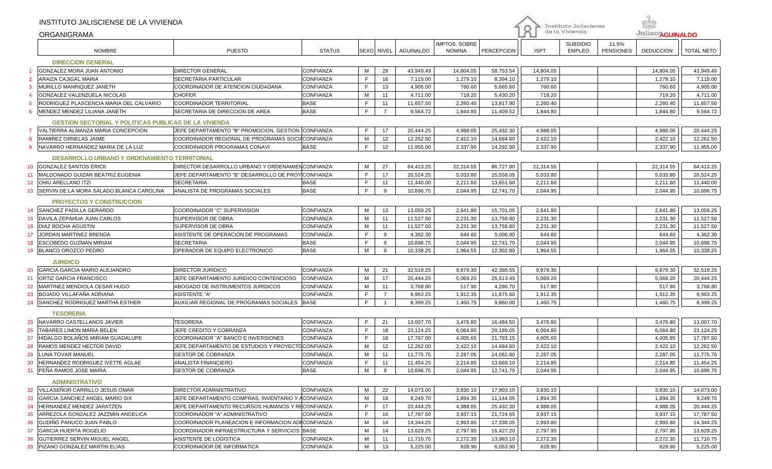| de la Vivienda<br>Jalisco <sub>AGUINALDO</sub><br>ORGANIGRAMA<br><b>SUBSIDIO</b><br>IMPTOS. SOBRE<br>11.5%<br><b>NOMBRE</b><br><b>PUESTO</b><br><b>STATUS</b><br>SEXO NIVEL<br><b>AGUINALDO</b><br><b>NOMINA</b><br>PERCEPCION<br><b>ISPT</b><br><b>EMPLEO</b><br><b>PENSIONES</b><br><b>DEDUCCION</b><br><b>TOTAL NETO</b><br><b>DIRECCION GENERAL</b><br><b>GONZALEZ MORA JUAN ANTONIO</b><br><b>DIRECTOR GENERAL</b><br>CONFIANZA<br>М<br>29<br>14,804.05<br>58,753.54<br>43,949.49<br>43,949.49<br>14,804.05<br>14,804.05<br>E<br>ARAIZA CAJIGAL MARIA<br>CONFIANZA<br>16<br>1,279.10<br>8,394.10<br>$\overline{2}$<br>SECRETARIA PARTICULAR<br>7,115.00<br>1,279.10<br>1,279.10<br>7,115.00<br>$\mathsf{F}$<br>MURILLO MANRIQUEZ JANETH<br>COORDINADOR DE ATENCION CIUDADANA<br>CONFIANZA<br>13<br>760.60<br>5,665.60<br>760.60<br>4,905.00<br>3<br>4,905.00<br>760.60<br><b>CHOFER</b><br>CONFIANZA<br>719.20<br>5,430.20<br>719.20<br>719.20<br>GONZALEZ VALENZUELA NICOLAS<br>м<br>11<br>4,711.00<br>4,711.00<br>F<br><b>COORDINADOR TERRITORIAL</b><br><b>BASE</b><br>RODRIGUEZ PLASCENCIA MARIA DEL CALVARIO<br>11<br>11,657.50<br>2,260.40<br>13,917.90<br>2,260.40<br>2,260.40<br>11,657.50<br>5<br>E<br>MENDEZ MENDEZ LILIANA JANETH<br>SECRETARIA DE DIRECCION DE AREA<br><b>BASE</b><br>$\overline{7}$<br>9,564.72<br>1,844.80<br>9,564.72<br>6<br>1,844.80<br>11,409.52<br>1,844.80<br><b>GESTION SECTORIAL Y POLITICAS PUBLICAS DE LA VIVIENDA</b><br>JEFE DEPARTAMENTO "B" PROMOCION, GESTION CONFIANZA<br>E<br>17<br>4,988.05<br>25,432.30<br>4,988.05<br>20,444.25<br>VALTIERRA ALMANZA MARIA CONCEPCION<br>20,444.25<br>4,988.05<br>RAMIREZ ORNELAS JAIME<br>COORDINADOR REGIONAL DE PROGRAMAS SOCIACONFIANZA<br>М<br>12<br>2,422.10<br>12,262.50<br>8<br>12,262.50<br>14,684.60<br>2,422.10<br>2,422.10<br>E<br>NAVARRO HERNANDEZ MARIA DE LA LUZ<br>COORDINADOR PROGRAMAS CONAVI<br><b>BASE</b><br>12<br>11,955.00<br>2,337.90<br>14,292.90<br>2,337.90<br>2,337.90<br>11,955.00<br>9<br><b>DESARROLLO URBANO Y ORDENAMIENTO TERRITORIAL</b><br>DIRECTOR DESARROLLO URBANO Y ORDENAMIEN CONFIANZA<br><b>GONZALEZ SANTOS ERICK</b><br>М<br>27<br>86,727.80<br>22,314.55<br>22,314.55<br>64,413.25<br>64,413.25<br>22,314.55<br>10<br>F<br>JEFE DEPARTAMENTO "B" DESARROLLO DE PROY CONFIANZA<br>17<br>MALDONADO GUIZAR BEATRIZ EUGENIA<br>20,524.25<br>5,033.80<br>25,558.05<br>5,033.80<br>20,524.25<br>5,033.80<br>11<br>$\mathsf F$<br><b>SECRETARIA</b><br><b>BASE</b><br>13,651.60<br>11,440.00<br>CHIU ARELLANO ITZI<br>11<br>11,440.00<br>2,211.60<br>2,211.60<br>2,211.60<br>12<br>F<br>SERVIN DE LA MORA SALADO BLANCA CAROLINA<br><b>ANALISTA DE PROGRAMAS SOCIALES</b><br><b>BASE</b><br>9<br>10,696.75<br>2,044.95<br>12,741.70<br>2,044.95<br>2,044.95<br>10,696.75<br>13<br><b>PROYECTOS Y CONSTRUCCION</b><br>M<br><b>SANCHEZ PADILLA GERARDO</b><br>COORDINADOR "C" SUPERVISION<br>CONFIANZA<br>13<br>13,059.25<br>2,641.80<br>15,701.05<br>2,641.80<br>2,641.80<br>13,059.25<br>14<br>M<br>DAVILA ZEPAHUA JUAN CARLOS<br>SUPERVISOR DE OBRA<br>CONFIANZA<br>11<br>11,527.50<br>2,231.30<br>13,758.80<br>2,231.30<br>11,527.50<br>15<br>2,231.30<br>CONFIANZA<br>M<br>11,527.50<br>DIAZ ROCHA AGUSTIN<br>SUPERVISOR DE OBRA<br>11<br>11,527.50<br>2,231.30<br>13,758.80<br>2,231.30<br>2,231.30<br>16<br>E<br>ASISTENTE DE OPERACIÓN DE PROGRAMAS<br>4,362.30<br>JORDAN MARTINEZ BRENDA<br>CONFIANZA<br>9<br>4,362.30<br>644.60<br>5,006.90<br>644.60<br>644.60<br>17<br>$\mathsf F$<br><b>BASE</b><br>ESCOBEDO GUZMAN MIRIAM<br><b>SECRETARIA</b><br>9<br>10,696.75<br>2,044.95<br>12,741.70<br>2,044.95<br>2,044.95<br>10,696.75<br>18<br>M<br>OPERADOR DE EQUIPO ELECTRONICO<br><b>BASE</b><br>1,964.55<br><b>BLANCO OROZCO PEDRO</b><br>8<br>10,338.25<br>12,302.80<br>1,964.55<br>1,964.55<br>10,338.25<br>19<br><b>JURIDICO</b><br>CONFIANZA<br>М<br>42,398.55<br><b>GARCIA GARCIA MARIO ALEJANDRO</b><br><b>DIRECTOR JURIDICO</b><br>21<br>32,519.25<br>9,879.30<br>9,879.30<br>9,879.30<br>32,519.25<br>20<br>M<br>17<br>5,069.20<br>25,513.45<br>20,444.25<br><b>ORTIZ GARCIA FRANCISCO</b><br>JEFE DEPARTAMENTO JURIDICO CONTENCIOSO<br><b>CONFIANZA</b><br>20,444.25<br>5,069.20<br>5,069.20<br>21<br>MARTINEZ MENDIOLA CESAR HUGO<br>ABOGADO DE INSTRUMENTOS JURIDICOS<br><b>CONFIANZA</b><br>м<br>11<br>3,768.80<br>517.90<br>4,286.70<br>517.90<br>517.90<br>3,768.80<br>22<br>$\mathsf F$<br>BOJADO VILLAFAÑA ADRIANA<br><b>ASISTENTE "A"</b><br>CONFIANZA<br>$\overline{7}$<br>9,963.25<br>1,912.35<br>11,875.60<br>1,912.35<br>1,912.35<br>9,963.25<br>23<br>E<br>AUXILIAR REGIONAL DE PROGRAMAS SOCIALES<br><b>BASE</b><br>SANCHEZ RODRIGUEZ MARTHA ESTHER<br>8,399.25<br>1,460.75<br>9,860.00<br>1,460.75<br>1,460.75<br>8,399.25<br>24<br><b>TESORERIA</b><br>$\mathsf F$<br>21<br>16,484.50<br>NAVARRO CASTELLANOS JAVIER<br><b>TESORERA</b><br>CONFIANZA<br>13,007.70<br>3,476.80<br>3,476.80<br>3,476.80<br>13,007.70<br>25<br>F<br>TABARES LIMON MARIA BELEN<br>JEFE CREDITO Y COBRANZA<br>CONFIANZA<br>18<br>23,124.25<br>6,064.80<br>29,189.05<br>6,064.80<br>6,064.80<br>23,124.25<br>26<br>HIDALGO BOLAÑOS MIRIAM GUADALUPE<br>COORDINADOR "A" BANCO E INVERSIONES<br>CONFIANZA<br>$\mathsf{F}$<br>17,787.50<br>4,005.65<br>21,793.15<br>4,005.65<br>17,787.50<br>27<br>16<br>4,005.65<br>M<br>12,262.50<br>RAMOS MENDEZ HECTOR DAVID<br>JEFE DEPARTAMENTO DE ESTUDIOS Y PROYECTOCONFIANZA<br>12<br>12,262.50<br>2,422.10<br>14,684.60<br>2,422.10<br>2,422.10<br>28<br>M<br>11,775.75<br>2,287.05<br>14,062.80<br>2,287.05<br>2,287.05<br>11,775.75<br>29<br>LUNA TOVAR MANUEL<br><b>GESTOR DE COBRANZA</b><br>CONFIANZA<br>11<br>CONFIANZA<br>F<br>13,669.10<br>HERNANDEZ RODRIGUEZ IVETTE AGLAE<br><b>ANALISTA FINANCIERO</b><br>11<br>11,454.25<br>2,214.85<br>2,214.85<br>2,214.85<br>11,454.25<br>30<br><b>BASE</b><br>PEÑA RAMOS JOSE MARIA<br><b>GESTOR DE COBRANZA</b><br>M<br>10,696.75<br>2,044.95<br>12,741.70<br>2,044.95<br>2,044.95<br>10,696.75<br>31<br>9<br><b>ADMINISTRATIVO</b><br>VILLASEÑOR CARRILLO JESUS OMAR<br><b>CONFIANZA</b><br>М<br>22<br>3,830.10<br>17,903.10<br>DIRECTOR ADMINISTRATIVO<br>14,073.00<br>3,830.10<br>3,830.10<br>14,073.00<br>32<br>11,144.05<br>JEFE DEPARTAMENTO COMPRAS, INVENTARIO Y ACONFIANZA<br>М<br>18<br>9,249.70<br>1,894.35<br>1,894.35<br>1,894.35<br>33<br><b>GARCIA SANCHEZ ANGEL MARIO SIX</b><br>9,249.70<br>F<br>20,444.25<br>4,988.05<br>25,432.30<br>HERNANDEZ MENDEZ JARATZEN<br>JEFE DEPARTAMENTO RECURSOS HUMANOS Y RECONFIANZA<br>17<br>4,988.05<br>4,988.05<br>20,444.25<br>34<br>ARREZOLA GONZALEZ JAZZMIN ANGELICA<br>F<br>17,787.50<br>3,937.15<br>21,724.65<br>3,937.15<br>3,937.15<br>17,787.50<br>COORDINADOR "A" ADMINISTRATIVO<br><b>CONFIANZA</b><br>16<br>35<br>M<br>GUDIÑO PANUCO JUAN PABLO<br>COORDINADOR PLANEACION E INFORMACION ADI CONFIANZA<br>14<br>14,344.25<br>2,993.80<br>17,338.05<br>2,993.80<br>2,993.80<br>14,344.25<br>36<br>13,629.25<br>2,797.95<br>16,427.20<br>2,797.95<br>2,797.95<br>13,629.25<br>37<br><b>GARCIA HUERTA ROGELIO</b><br>COORDINADOR INFRAESTRUCTURA Y SERVICIOS BASE<br>м<br>14<br>M<br>GUTIERREZ SERVIN MIGUEL ANGEL<br>ASISTENTE DE LOGISTICA<br>CONFIANZA<br>11<br>11,710.75<br>2,272.35<br>13,983.10<br>2,272.35<br>2,272.35<br>11,710.75<br>38<br>PIZANO GONZALEZ MARTIN ELIAS<br>COORDINADOR DE INFORMATICA<br>CONFIANZA<br>M<br>13<br>828.90<br>6,053.90<br>5,225.00<br>828.90<br>828.90<br>5,225.00<br>39 | INSTITUTO JALISCIENSE DE LA VIVIENDA |  |  |  |  |  | Instituto Jalisciense |  |  |  |  |
|--------------------------------------------------------------------------------------------------------------------------------------------------------------------------------------------------------------------------------------------------------------------------------------------------------------------------------------------------------------------------------------------------------------------------------------------------------------------------------------------------------------------------------------------------------------------------------------------------------------------------------------------------------------------------------------------------------------------------------------------------------------------------------------------------------------------------------------------------------------------------------------------------------------------------------------------------------------------------------------------------------------------------------------------------------------------------------------------------------------------------------------------------------------------------------------------------------------------------------------------------------------------------------------------------------------------------------------------------------------------------------------------------------------------------------------------------------------------------------------------------------------------------------------------------------------------------------------------------------------------------------------------------------------------------------------------------------------------------------------------------------------------------------------------------------------------------------------------------------------------------------------------------------------------------------------------------------------------------------------------------------------------------------------------------------------------------------------------------------------------------------------------------------------------------------------------------------------------------------------------------------------------------------------------------------------------------------------------------------------------------------------------------------------------------------------------------------------------------------------------------------------------------------------------------------------------------------------------------------------------------------------------------------------------------------------------------------------------------------------------------------------------------------------------------------------------------------------------------------------------------------------------------------------------------------------------------------------------------------------------------------------------------------------------------------------------------------------------------------------------------------------------------------------------------------------------------------------------------------------------------------------------------------------------------------------------------------------------------------------------------------------------------------------------------------------------------------------------------------------------------------------------------------------------------------------------------------------------------------------------------------------------------------------------------------------------------------------------------------------------------------------------------------------------------------------------------------------------------------------------------------------------------------------------------------------------------------------------------------------------------------------------------------------------------------------------------------------------------------------------------------------------------------------------------------------------------------------------------------------------------------------------------------------------------------------------------------------------------------------------------------------------------------------------------------------------------------------------------------------------------------------------------------------------------------------------------------------------------------------------------------------------------------------------------------------------------------------------------------------------------------------------------------------------------------------------------------------------------------------------------------------------------------------------------------------------------------------------------------------------------------------------------------------------------------------------------------------------------------------------------------------------------------------------------------------------------------------------------------------------------------------------------------------------------------------------------------------------------------------------------------------------------------------------------------------------------------------------------------------------------------------------------------------------------------------------------------------------------------------------------------------------------------------------------------------------------------------------------------------------------------------------------------------------------------------------------------------------------------------------------------------------------------------------------------------------------------------------------------------------------------------------------------------------------------------------------------------------------------------------------------------------------------------------------------------------------------------------------------------------------------------------------------------------------------------------------------------------------------------------------------------------------------------------------------------------------------------------------------------------------------------------------------------------------------------------------------------------------------------------------------------------------------------------------------------------------------------------------------------------------------------------------------------------------------------------------------------------------------------------------------------------------------------------------------------------------------------------------------------------------------------------------------------------------------------------------------------------------------------------------------------------------------------------------------------------------------------------------------------------------------------------------------------------------------------------------------------------------------------------------------------------------------------------------------------------------------------------------------------------------------------|--------------------------------------|--|--|--|--|--|-----------------------|--|--|--|--|
|                                                                                                                                                                                                                                                                                                                                                                                                                                                                                                                                                                                                                                                                                                                                                                                                                                                                                                                                                                                                                                                                                                                                                                                                                                                                                                                                                                                                                                                                                                                                                                                                                                                                                                                                                                                                                                                                                                                                                                                                                                                                                                                                                                                                                                                                                                                                                                                                                                                                                                                                                                                                                                                                                                                                                                                                                                                                                                                                                                                                                                                                                                                                                                                                                                                                                                                                                                                                                                                                                                                                                                                                                                                                                                                                                                                                                                                                                                                                                                                                                                                                                                                                                                                                                                                                                                                                                                                                                                                                                                                                                                                                                                                                                                                                                                                                                                                                                                                                                                                                                                                                                                                                                                                                                                                                                                                                                                                                                                                                                                                                                                                                                                                                                                                                                                                                                                                                                                                                                                                                                                                                                                                                                                                                                                                                                                                                                                                                                                                                                                                                                                                                                                                                                                                                                                                                                                                                                                                                                                                                                                                                                                                                                                                                                                                                                                                                                                                                                                                                                                              |                                      |  |  |  |  |  |                       |  |  |  |  |
|                                                                                                                                                                                                                                                                                                                                                                                                                                                                                                                                                                                                                                                                                                                                                                                                                                                                                                                                                                                                                                                                                                                                                                                                                                                                                                                                                                                                                                                                                                                                                                                                                                                                                                                                                                                                                                                                                                                                                                                                                                                                                                                                                                                                                                                                                                                                                                                                                                                                                                                                                                                                                                                                                                                                                                                                                                                                                                                                                                                                                                                                                                                                                                                                                                                                                                                                                                                                                                                                                                                                                                                                                                                                                                                                                                                                                                                                                                                                                                                                                                                                                                                                                                                                                                                                                                                                                                                                                                                                                                                                                                                                                                                                                                                                                                                                                                                                                                                                                                                                                                                                                                                                                                                                                                                                                                                                                                                                                                                                                                                                                                                                                                                                                                                                                                                                                                                                                                                                                                                                                                                                                                                                                                                                                                                                                                                                                                                                                                                                                                                                                                                                                                                                                                                                                                                                                                                                                                                                                                                                                                                                                                                                                                                                                                                                                                                                                                                                                                                                                                              |                                      |  |  |  |  |  |                       |  |  |  |  |
|                                                                                                                                                                                                                                                                                                                                                                                                                                                                                                                                                                                                                                                                                                                                                                                                                                                                                                                                                                                                                                                                                                                                                                                                                                                                                                                                                                                                                                                                                                                                                                                                                                                                                                                                                                                                                                                                                                                                                                                                                                                                                                                                                                                                                                                                                                                                                                                                                                                                                                                                                                                                                                                                                                                                                                                                                                                                                                                                                                                                                                                                                                                                                                                                                                                                                                                                                                                                                                                                                                                                                                                                                                                                                                                                                                                                                                                                                                                                                                                                                                                                                                                                                                                                                                                                                                                                                                                                                                                                                                                                                                                                                                                                                                                                                                                                                                                                                                                                                                                                                                                                                                                                                                                                                                                                                                                                                                                                                                                                                                                                                                                                                                                                                                                                                                                                                                                                                                                                                                                                                                                                                                                                                                                                                                                                                                                                                                                                                                                                                                                                                                                                                                                                                                                                                                                                                                                                                                                                                                                                                                                                                                                                                                                                                                                                                                                                                                                                                                                                                                              |                                      |  |  |  |  |  |                       |  |  |  |  |
|                                                                                                                                                                                                                                                                                                                                                                                                                                                                                                                                                                                                                                                                                                                                                                                                                                                                                                                                                                                                                                                                                                                                                                                                                                                                                                                                                                                                                                                                                                                                                                                                                                                                                                                                                                                                                                                                                                                                                                                                                                                                                                                                                                                                                                                                                                                                                                                                                                                                                                                                                                                                                                                                                                                                                                                                                                                                                                                                                                                                                                                                                                                                                                                                                                                                                                                                                                                                                                                                                                                                                                                                                                                                                                                                                                                                                                                                                                                                                                                                                                                                                                                                                                                                                                                                                                                                                                                                                                                                                                                                                                                                                                                                                                                                                                                                                                                                                                                                                                                                                                                                                                                                                                                                                                                                                                                                                                                                                                                                                                                                                                                                                                                                                                                                                                                                                                                                                                                                                                                                                                                                                                                                                                                                                                                                                                                                                                                                                                                                                                                                                                                                                                                                                                                                                                                                                                                                                                                                                                                                                                                                                                                                                                                                                                                                                                                                                                                                                                                                                                              |                                      |  |  |  |  |  |                       |  |  |  |  |
|                                                                                                                                                                                                                                                                                                                                                                                                                                                                                                                                                                                                                                                                                                                                                                                                                                                                                                                                                                                                                                                                                                                                                                                                                                                                                                                                                                                                                                                                                                                                                                                                                                                                                                                                                                                                                                                                                                                                                                                                                                                                                                                                                                                                                                                                                                                                                                                                                                                                                                                                                                                                                                                                                                                                                                                                                                                                                                                                                                                                                                                                                                                                                                                                                                                                                                                                                                                                                                                                                                                                                                                                                                                                                                                                                                                                                                                                                                                                                                                                                                                                                                                                                                                                                                                                                                                                                                                                                                                                                                                                                                                                                                                                                                                                                                                                                                                                                                                                                                                                                                                                                                                                                                                                                                                                                                                                                                                                                                                                                                                                                                                                                                                                                                                                                                                                                                                                                                                                                                                                                                                                                                                                                                                                                                                                                                                                                                                                                                                                                                                                                                                                                                                                                                                                                                                                                                                                                                                                                                                                                                                                                                                                                                                                                                                                                                                                                                                                                                                                                                              |                                      |  |  |  |  |  |                       |  |  |  |  |
|                                                                                                                                                                                                                                                                                                                                                                                                                                                                                                                                                                                                                                                                                                                                                                                                                                                                                                                                                                                                                                                                                                                                                                                                                                                                                                                                                                                                                                                                                                                                                                                                                                                                                                                                                                                                                                                                                                                                                                                                                                                                                                                                                                                                                                                                                                                                                                                                                                                                                                                                                                                                                                                                                                                                                                                                                                                                                                                                                                                                                                                                                                                                                                                                                                                                                                                                                                                                                                                                                                                                                                                                                                                                                                                                                                                                                                                                                                                                                                                                                                                                                                                                                                                                                                                                                                                                                                                                                                                                                                                                                                                                                                                                                                                                                                                                                                                                                                                                                                                                                                                                                                                                                                                                                                                                                                                                                                                                                                                                                                                                                                                                                                                                                                                                                                                                                                                                                                                                                                                                                                                                                                                                                                                                                                                                                                                                                                                                                                                                                                                                                                                                                                                                                                                                                                                                                                                                                                                                                                                                                                                                                                                                                                                                                                                                                                                                                                                                                                                                                                              |                                      |  |  |  |  |  |                       |  |  |  |  |
|                                                                                                                                                                                                                                                                                                                                                                                                                                                                                                                                                                                                                                                                                                                                                                                                                                                                                                                                                                                                                                                                                                                                                                                                                                                                                                                                                                                                                                                                                                                                                                                                                                                                                                                                                                                                                                                                                                                                                                                                                                                                                                                                                                                                                                                                                                                                                                                                                                                                                                                                                                                                                                                                                                                                                                                                                                                                                                                                                                                                                                                                                                                                                                                                                                                                                                                                                                                                                                                                                                                                                                                                                                                                                                                                                                                                                                                                                                                                                                                                                                                                                                                                                                                                                                                                                                                                                                                                                                                                                                                                                                                                                                                                                                                                                                                                                                                                                                                                                                                                                                                                                                                                                                                                                                                                                                                                                                                                                                                                                                                                                                                                                                                                                                                                                                                                                                                                                                                                                                                                                                                                                                                                                                                                                                                                                                                                                                                                                                                                                                                                                                                                                                                                                                                                                                                                                                                                                                                                                                                                                                                                                                                                                                                                                                                                                                                                                                                                                                                                                                              |                                      |  |  |  |  |  |                       |  |  |  |  |
|                                                                                                                                                                                                                                                                                                                                                                                                                                                                                                                                                                                                                                                                                                                                                                                                                                                                                                                                                                                                                                                                                                                                                                                                                                                                                                                                                                                                                                                                                                                                                                                                                                                                                                                                                                                                                                                                                                                                                                                                                                                                                                                                                                                                                                                                                                                                                                                                                                                                                                                                                                                                                                                                                                                                                                                                                                                                                                                                                                                                                                                                                                                                                                                                                                                                                                                                                                                                                                                                                                                                                                                                                                                                                                                                                                                                                                                                                                                                                                                                                                                                                                                                                                                                                                                                                                                                                                                                                                                                                                                                                                                                                                                                                                                                                                                                                                                                                                                                                                                                                                                                                                                                                                                                                                                                                                                                                                                                                                                                                                                                                                                                                                                                                                                                                                                                                                                                                                                                                                                                                                                                                                                                                                                                                                                                                                                                                                                                                                                                                                                                                                                                                                                                                                                                                                                                                                                                                                                                                                                                                                                                                                                                                                                                                                                                                                                                                                                                                                                                                                              |                                      |  |  |  |  |  |                       |  |  |  |  |
|                                                                                                                                                                                                                                                                                                                                                                                                                                                                                                                                                                                                                                                                                                                                                                                                                                                                                                                                                                                                                                                                                                                                                                                                                                                                                                                                                                                                                                                                                                                                                                                                                                                                                                                                                                                                                                                                                                                                                                                                                                                                                                                                                                                                                                                                                                                                                                                                                                                                                                                                                                                                                                                                                                                                                                                                                                                                                                                                                                                                                                                                                                                                                                                                                                                                                                                                                                                                                                                                                                                                                                                                                                                                                                                                                                                                                                                                                                                                                                                                                                                                                                                                                                                                                                                                                                                                                                                                                                                                                                                                                                                                                                                                                                                                                                                                                                                                                                                                                                                                                                                                                                                                                                                                                                                                                                                                                                                                                                                                                                                                                                                                                                                                                                                                                                                                                                                                                                                                                                                                                                                                                                                                                                                                                                                                                                                                                                                                                                                                                                                                                                                                                                                                                                                                                                                                                                                                                                                                                                                                                                                                                                                                                                                                                                                                                                                                                                                                                                                                                                              |                                      |  |  |  |  |  |                       |  |  |  |  |
|                                                                                                                                                                                                                                                                                                                                                                                                                                                                                                                                                                                                                                                                                                                                                                                                                                                                                                                                                                                                                                                                                                                                                                                                                                                                                                                                                                                                                                                                                                                                                                                                                                                                                                                                                                                                                                                                                                                                                                                                                                                                                                                                                                                                                                                                                                                                                                                                                                                                                                                                                                                                                                                                                                                                                                                                                                                                                                                                                                                                                                                                                                                                                                                                                                                                                                                                                                                                                                                                                                                                                                                                                                                                                                                                                                                                                                                                                                                                                                                                                                                                                                                                                                                                                                                                                                                                                                                                                                                                                                                                                                                                                                                                                                                                                                                                                                                                                                                                                                                                                                                                                                                                                                                                                                                                                                                                                                                                                                                                                                                                                                                                                                                                                                                                                                                                                                                                                                                                                                                                                                                                                                                                                                                                                                                                                                                                                                                                                                                                                                                                                                                                                                                                                                                                                                                                                                                                                                                                                                                                                                                                                                                                                                                                                                                                                                                                                                                                                                                                                                              |                                      |  |  |  |  |  |                       |  |  |  |  |
|                                                                                                                                                                                                                                                                                                                                                                                                                                                                                                                                                                                                                                                                                                                                                                                                                                                                                                                                                                                                                                                                                                                                                                                                                                                                                                                                                                                                                                                                                                                                                                                                                                                                                                                                                                                                                                                                                                                                                                                                                                                                                                                                                                                                                                                                                                                                                                                                                                                                                                                                                                                                                                                                                                                                                                                                                                                                                                                                                                                                                                                                                                                                                                                                                                                                                                                                                                                                                                                                                                                                                                                                                                                                                                                                                                                                                                                                                                                                                                                                                                                                                                                                                                                                                                                                                                                                                                                                                                                                                                                                                                                                                                                                                                                                                                                                                                                                                                                                                                                                                                                                                                                                                                                                                                                                                                                                                                                                                                                                                                                                                                                                                                                                                                                                                                                                                                                                                                                                                                                                                                                                                                                                                                                                                                                                                                                                                                                                                                                                                                                                                                                                                                                                                                                                                                                                                                                                                                                                                                                                                                                                                                                                                                                                                                                                                                                                                                                                                                                                                                              |                                      |  |  |  |  |  |                       |  |  |  |  |
|                                                                                                                                                                                                                                                                                                                                                                                                                                                                                                                                                                                                                                                                                                                                                                                                                                                                                                                                                                                                                                                                                                                                                                                                                                                                                                                                                                                                                                                                                                                                                                                                                                                                                                                                                                                                                                                                                                                                                                                                                                                                                                                                                                                                                                                                                                                                                                                                                                                                                                                                                                                                                                                                                                                                                                                                                                                                                                                                                                                                                                                                                                                                                                                                                                                                                                                                                                                                                                                                                                                                                                                                                                                                                                                                                                                                                                                                                                                                                                                                                                                                                                                                                                                                                                                                                                                                                                                                                                                                                                                                                                                                                                                                                                                                                                                                                                                                                                                                                                                                                                                                                                                                                                                                                                                                                                                                                                                                                                                                                                                                                                                                                                                                                                                                                                                                                                                                                                                                                                                                                                                                                                                                                                                                                                                                                                                                                                                                                                                                                                                                                                                                                                                                                                                                                                                                                                                                                                                                                                                                                                                                                                                                                                                                                                                                                                                                                                                                                                                                                                              |                                      |  |  |  |  |  |                       |  |  |  |  |
|                                                                                                                                                                                                                                                                                                                                                                                                                                                                                                                                                                                                                                                                                                                                                                                                                                                                                                                                                                                                                                                                                                                                                                                                                                                                                                                                                                                                                                                                                                                                                                                                                                                                                                                                                                                                                                                                                                                                                                                                                                                                                                                                                                                                                                                                                                                                                                                                                                                                                                                                                                                                                                                                                                                                                                                                                                                                                                                                                                                                                                                                                                                                                                                                                                                                                                                                                                                                                                                                                                                                                                                                                                                                                                                                                                                                                                                                                                                                                                                                                                                                                                                                                                                                                                                                                                                                                                                                                                                                                                                                                                                                                                                                                                                                                                                                                                                                                                                                                                                                                                                                                                                                                                                                                                                                                                                                                                                                                                                                                                                                                                                                                                                                                                                                                                                                                                                                                                                                                                                                                                                                                                                                                                                                                                                                                                                                                                                                                                                                                                                                                                                                                                                                                                                                                                                                                                                                                                                                                                                                                                                                                                                                                                                                                                                                                                                                                                                                                                                                                                              |                                      |  |  |  |  |  |                       |  |  |  |  |
|                                                                                                                                                                                                                                                                                                                                                                                                                                                                                                                                                                                                                                                                                                                                                                                                                                                                                                                                                                                                                                                                                                                                                                                                                                                                                                                                                                                                                                                                                                                                                                                                                                                                                                                                                                                                                                                                                                                                                                                                                                                                                                                                                                                                                                                                                                                                                                                                                                                                                                                                                                                                                                                                                                                                                                                                                                                                                                                                                                                                                                                                                                                                                                                                                                                                                                                                                                                                                                                                                                                                                                                                                                                                                                                                                                                                                                                                                                                                                                                                                                                                                                                                                                                                                                                                                                                                                                                                                                                                                                                                                                                                                                                                                                                                                                                                                                                                                                                                                                                                                                                                                                                                                                                                                                                                                                                                                                                                                                                                                                                                                                                                                                                                                                                                                                                                                                                                                                                                                                                                                                                                                                                                                                                                                                                                                                                                                                                                                                                                                                                                                                                                                                                                                                                                                                                                                                                                                                                                                                                                                                                                                                                                                                                                                                                                                                                                                                                                                                                                                                              |                                      |  |  |  |  |  |                       |  |  |  |  |
|                                                                                                                                                                                                                                                                                                                                                                                                                                                                                                                                                                                                                                                                                                                                                                                                                                                                                                                                                                                                                                                                                                                                                                                                                                                                                                                                                                                                                                                                                                                                                                                                                                                                                                                                                                                                                                                                                                                                                                                                                                                                                                                                                                                                                                                                                                                                                                                                                                                                                                                                                                                                                                                                                                                                                                                                                                                                                                                                                                                                                                                                                                                                                                                                                                                                                                                                                                                                                                                                                                                                                                                                                                                                                                                                                                                                                                                                                                                                                                                                                                                                                                                                                                                                                                                                                                                                                                                                                                                                                                                                                                                                                                                                                                                                                                                                                                                                                                                                                                                                                                                                                                                                                                                                                                                                                                                                                                                                                                                                                                                                                                                                                                                                                                                                                                                                                                                                                                                                                                                                                                                                                                                                                                                                                                                                                                                                                                                                                                                                                                                                                                                                                                                                                                                                                                                                                                                                                                                                                                                                                                                                                                                                                                                                                                                                                                                                                                                                                                                                                                              |                                      |  |  |  |  |  |                       |  |  |  |  |
|                                                                                                                                                                                                                                                                                                                                                                                                                                                                                                                                                                                                                                                                                                                                                                                                                                                                                                                                                                                                                                                                                                                                                                                                                                                                                                                                                                                                                                                                                                                                                                                                                                                                                                                                                                                                                                                                                                                                                                                                                                                                                                                                                                                                                                                                                                                                                                                                                                                                                                                                                                                                                                                                                                                                                                                                                                                                                                                                                                                                                                                                                                                                                                                                                                                                                                                                                                                                                                                                                                                                                                                                                                                                                                                                                                                                                                                                                                                                                                                                                                                                                                                                                                                                                                                                                                                                                                                                                                                                                                                                                                                                                                                                                                                                                                                                                                                                                                                                                                                                                                                                                                                                                                                                                                                                                                                                                                                                                                                                                                                                                                                                                                                                                                                                                                                                                                                                                                                                                                                                                                                                                                                                                                                                                                                                                                                                                                                                                                                                                                                                                                                                                                                                                                                                                                                                                                                                                                                                                                                                                                                                                                                                                                                                                                                                                                                                                                                                                                                                                                              |                                      |  |  |  |  |  |                       |  |  |  |  |
|                                                                                                                                                                                                                                                                                                                                                                                                                                                                                                                                                                                                                                                                                                                                                                                                                                                                                                                                                                                                                                                                                                                                                                                                                                                                                                                                                                                                                                                                                                                                                                                                                                                                                                                                                                                                                                                                                                                                                                                                                                                                                                                                                                                                                                                                                                                                                                                                                                                                                                                                                                                                                                                                                                                                                                                                                                                                                                                                                                                                                                                                                                                                                                                                                                                                                                                                                                                                                                                                                                                                                                                                                                                                                                                                                                                                                                                                                                                                                                                                                                                                                                                                                                                                                                                                                                                                                                                                                                                                                                                                                                                                                                                                                                                                                                                                                                                                                                                                                                                                                                                                                                                                                                                                                                                                                                                                                                                                                                                                                                                                                                                                                                                                                                                                                                                                                                                                                                                                                                                                                                                                                                                                                                                                                                                                                                                                                                                                                                                                                                                                                                                                                                                                                                                                                                                                                                                                                                                                                                                                                                                                                                                                                                                                                                                                                                                                                                                                                                                                                                              |                                      |  |  |  |  |  |                       |  |  |  |  |
|                                                                                                                                                                                                                                                                                                                                                                                                                                                                                                                                                                                                                                                                                                                                                                                                                                                                                                                                                                                                                                                                                                                                                                                                                                                                                                                                                                                                                                                                                                                                                                                                                                                                                                                                                                                                                                                                                                                                                                                                                                                                                                                                                                                                                                                                                                                                                                                                                                                                                                                                                                                                                                                                                                                                                                                                                                                                                                                                                                                                                                                                                                                                                                                                                                                                                                                                                                                                                                                                                                                                                                                                                                                                                                                                                                                                                                                                                                                                                                                                                                                                                                                                                                                                                                                                                                                                                                                                                                                                                                                                                                                                                                                                                                                                                                                                                                                                                                                                                                                                                                                                                                                                                                                                                                                                                                                                                                                                                                                                                                                                                                                                                                                                                                                                                                                                                                                                                                                                                                                                                                                                                                                                                                                                                                                                                                                                                                                                                                                                                                                                                                                                                                                                                                                                                                                                                                                                                                                                                                                                                                                                                                                                                                                                                                                                                                                                                                                                                                                                                                              |                                      |  |  |  |  |  |                       |  |  |  |  |
|                                                                                                                                                                                                                                                                                                                                                                                                                                                                                                                                                                                                                                                                                                                                                                                                                                                                                                                                                                                                                                                                                                                                                                                                                                                                                                                                                                                                                                                                                                                                                                                                                                                                                                                                                                                                                                                                                                                                                                                                                                                                                                                                                                                                                                                                                                                                                                                                                                                                                                                                                                                                                                                                                                                                                                                                                                                                                                                                                                                                                                                                                                                                                                                                                                                                                                                                                                                                                                                                                                                                                                                                                                                                                                                                                                                                                                                                                                                                                                                                                                                                                                                                                                                                                                                                                                                                                                                                                                                                                                                                                                                                                                                                                                                                                                                                                                                                                                                                                                                                                                                                                                                                                                                                                                                                                                                                                                                                                                                                                                                                                                                                                                                                                                                                                                                                                                                                                                                                                                                                                                                                                                                                                                                                                                                                                                                                                                                                                                                                                                                                                                                                                                                                                                                                                                                                                                                                                                                                                                                                                                                                                                                                                                                                                                                                                                                                                                                                                                                                                                              |                                      |  |  |  |  |  |                       |  |  |  |  |
|                                                                                                                                                                                                                                                                                                                                                                                                                                                                                                                                                                                                                                                                                                                                                                                                                                                                                                                                                                                                                                                                                                                                                                                                                                                                                                                                                                                                                                                                                                                                                                                                                                                                                                                                                                                                                                                                                                                                                                                                                                                                                                                                                                                                                                                                                                                                                                                                                                                                                                                                                                                                                                                                                                                                                                                                                                                                                                                                                                                                                                                                                                                                                                                                                                                                                                                                                                                                                                                                                                                                                                                                                                                                                                                                                                                                                                                                                                                                                                                                                                                                                                                                                                                                                                                                                                                                                                                                                                                                                                                                                                                                                                                                                                                                                                                                                                                                                                                                                                                                                                                                                                                                                                                                                                                                                                                                                                                                                                                                                                                                                                                                                                                                                                                                                                                                                                                                                                                                                                                                                                                                                                                                                                                                                                                                                                                                                                                                                                                                                                                                                                                                                                                                                                                                                                                                                                                                                                                                                                                                                                                                                                                                                                                                                                                                                                                                                                                                                                                                                                              |                                      |  |  |  |  |  |                       |  |  |  |  |
|                                                                                                                                                                                                                                                                                                                                                                                                                                                                                                                                                                                                                                                                                                                                                                                                                                                                                                                                                                                                                                                                                                                                                                                                                                                                                                                                                                                                                                                                                                                                                                                                                                                                                                                                                                                                                                                                                                                                                                                                                                                                                                                                                                                                                                                                                                                                                                                                                                                                                                                                                                                                                                                                                                                                                                                                                                                                                                                                                                                                                                                                                                                                                                                                                                                                                                                                                                                                                                                                                                                                                                                                                                                                                                                                                                                                                                                                                                                                                                                                                                                                                                                                                                                                                                                                                                                                                                                                                                                                                                                                                                                                                                                                                                                                                                                                                                                                                                                                                                                                                                                                                                                                                                                                                                                                                                                                                                                                                                                                                                                                                                                                                                                                                                                                                                                                                                                                                                                                                                                                                                                                                                                                                                                                                                                                                                                                                                                                                                                                                                                                                                                                                                                                                                                                                                                                                                                                                                                                                                                                                                                                                                                                                                                                                                                                                                                                                                                                                                                                                                              |                                      |  |  |  |  |  |                       |  |  |  |  |
|                                                                                                                                                                                                                                                                                                                                                                                                                                                                                                                                                                                                                                                                                                                                                                                                                                                                                                                                                                                                                                                                                                                                                                                                                                                                                                                                                                                                                                                                                                                                                                                                                                                                                                                                                                                                                                                                                                                                                                                                                                                                                                                                                                                                                                                                                                                                                                                                                                                                                                                                                                                                                                                                                                                                                                                                                                                                                                                                                                                                                                                                                                                                                                                                                                                                                                                                                                                                                                                                                                                                                                                                                                                                                                                                                                                                                                                                                                                                                                                                                                                                                                                                                                                                                                                                                                                                                                                                                                                                                                                                                                                                                                                                                                                                                                                                                                                                                                                                                                                                                                                                                                                                                                                                                                                                                                                                                                                                                                                                                                                                                                                                                                                                                                                                                                                                                                                                                                                                                                                                                                                                                                                                                                                                                                                                                                                                                                                                                                                                                                                                                                                                                                                                                                                                                                                                                                                                                                                                                                                                                                                                                                                                                                                                                                                                                                                                                                                                                                                                                                              |                                      |  |  |  |  |  |                       |  |  |  |  |
|                                                                                                                                                                                                                                                                                                                                                                                                                                                                                                                                                                                                                                                                                                                                                                                                                                                                                                                                                                                                                                                                                                                                                                                                                                                                                                                                                                                                                                                                                                                                                                                                                                                                                                                                                                                                                                                                                                                                                                                                                                                                                                                                                                                                                                                                                                                                                                                                                                                                                                                                                                                                                                                                                                                                                                                                                                                                                                                                                                                                                                                                                                                                                                                                                                                                                                                                                                                                                                                                                                                                                                                                                                                                                                                                                                                                                                                                                                                                                                                                                                                                                                                                                                                                                                                                                                                                                                                                                                                                                                                                                                                                                                                                                                                                                                                                                                                                                                                                                                                                                                                                                                                                                                                                                                                                                                                                                                                                                                                                                                                                                                                                                                                                                                                                                                                                                                                                                                                                                                                                                                                                                                                                                                                                                                                                                                                                                                                                                                                                                                                                                                                                                                                                                                                                                                                                                                                                                                                                                                                                                                                                                                                                                                                                                                                                                                                                                                                                                                                                                                              |                                      |  |  |  |  |  |                       |  |  |  |  |
|                                                                                                                                                                                                                                                                                                                                                                                                                                                                                                                                                                                                                                                                                                                                                                                                                                                                                                                                                                                                                                                                                                                                                                                                                                                                                                                                                                                                                                                                                                                                                                                                                                                                                                                                                                                                                                                                                                                                                                                                                                                                                                                                                                                                                                                                                                                                                                                                                                                                                                                                                                                                                                                                                                                                                                                                                                                                                                                                                                                                                                                                                                                                                                                                                                                                                                                                                                                                                                                                                                                                                                                                                                                                                                                                                                                                                                                                                                                                                                                                                                                                                                                                                                                                                                                                                                                                                                                                                                                                                                                                                                                                                                                                                                                                                                                                                                                                                                                                                                                                                                                                                                                                                                                                                                                                                                                                                                                                                                                                                                                                                                                                                                                                                                                                                                                                                                                                                                                                                                                                                                                                                                                                                                                                                                                                                                                                                                                                                                                                                                                                                                                                                                                                                                                                                                                                                                                                                                                                                                                                                                                                                                                                                                                                                                                                                                                                                                                                                                                                                                              |                                      |  |  |  |  |  |                       |  |  |  |  |
|                                                                                                                                                                                                                                                                                                                                                                                                                                                                                                                                                                                                                                                                                                                                                                                                                                                                                                                                                                                                                                                                                                                                                                                                                                                                                                                                                                                                                                                                                                                                                                                                                                                                                                                                                                                                                                                                                                                                                                                                                                                                                                                                                                                                                                                                                                                                                                                                                                                                                                                                                                                                                                                                                                                                                                                                                                                                                                                                                                                                                                                                                                                                                                                                                                                                                                                                                                                                                                                                                                                                                                                                                                                                                                                                                                                                                                                                                                                                                                                                                                                                                                                                                                                                                                                                                                                                                                                                                                                                                                                                                                                                                                                                                                                                                                                                                                                                                                                                                                                                                                                                                                                                                                                                                                                                                                                                                                                                                                                                                                                                                                                                                                                                                                                                                                                                                                                                                                                                                                                                                                                                                                                                                                                                                                                                                                                                                                                                                                                                                                                                                                                                                                                                                                                                                                                                                                                                                                                                                                                                                                                                                                                                                                                                                                                                                                                                                                                                                                                                                                              |                                      |  |  |  |  |  |                       |  |  |  |  |
|                                                                                                                                                                                                                                                                                                                                                                                                                                                                                                                                                                                                                                                                                                                                                                                                                                                                                                                                                                                                                                                                                                                                                                                                                                                                                                                                                                                                                                                                                                                                                                                                                                                                                                                                                                                                                                                                                                                                                                                                                                                                                                                                                                                                                                                                                                                                                                                                                                                                                                                                                                                                                                                                                                                                                                                                                                                                                                                                                                                                                                                                                                                                                                                                                                                                                                                                                                                                                                                                                                                                                                                                                                                                                                                                                                                                                                                                                                                                                                                                                                                                                                                                                                                                                                                                                                                                                                                                                                                                                                                                                                                                                                                                                                                                                                                                                                                                                                                                                                                                                                                                                                                                                                                                                                                                                                                                                                                                                                                                                                                                                                                                                                                                                                                                                                                                                                                                                                                                                                                                                                                                                                                                                                                                                                                                                                                                                                                                                                                                                                                                                                                                                                                                                                                                                                                                                                                                                                                                                                                                                                                                                                                                                                                                                                                                                                                                                                                                                                                                                                              |                                      |  |  |  |  |  |                       |  |  |  |  |
|                                                                                                                                                                                                                                                                                                                                                                                                                                                                                                                                                                                                                                                                                                                                                                                                                                                                                                                                                                                                                                                                                                                                                                                                                                                                                                                                                                                                                                                                                                                                                                                                                                                                                                                                                                                                                                                                                                                                                                                                                                                                                                                                                                                                                                                                                                                                                                                                                                                                                                                                                                                                                                                                                                                                                                                                                                                                                                                                                                                                                                                                                                                                                                                                                                                                                                                                                                                                                                                                                                                                                                                                                                                                                                                                                                                                                                                                                                                                                                                                                                                                                                                                                                                                                                                                                                                                                                                                                                                                                                                                                                                                                                                                                                                                                                                                                                                                                                                                                                                                                                                                                                                                                                                                                                                                                                                                                                                                                                                                                                                                                                                                                                                                                                                                                                                                                                                                                                                                                                                                                                                                                                                                                                                                                                                                                                                                                                                                                                                                                                                                                                                                                                                                                                                                                                                                                                                                                                                                                                                                                                                                                                                                                                                                                                                                                                                                                                                                                                                                                                              |                                      |  |  |  |  |  |                       |  |  |  |  |
|                                                                                                                                                                                                                                                                                                                                                                                                                                                                                                                                                                                                                                                                                                                                                                                                                                                                                                                                                                                                                                                                                                                                                                                                                                                                                                                                                                                                                                                                                                                                                                                                                                                                                                                                                                                                                                                                                                                                                                                                                                                                                                                                                                                                                                                                                                                                                                                                                                                                                                                                                                                                                                                                                                                                                                                                                                                                                                                                                                                                                                                                                                                                                                                                                                                                                                                                                                                                                                                                                                                                                                                                                                                                                                                                                                                                                                                                                                                                                                                                                                                                                                                                                                                                                                                                                                                                                                                                                                                                                                                                                                                                                                                                                                                                                                                                                                                                                                                                                                                                                                                                                                                                                                                                                                                                                                                                                                                                                                                                                                                                                                                                                                                                                                                                                                                                                                                                                                                                                                                                                                                                                                                                                                                                                                                                                                                                                                                                                                                                                                                                                                                                                                                                                                                                                                                                                                                                                                                                                                                                                                                                                                                                                                                                                                                                                                                                                                                                                                                                                                              |                                      |  |  |  |  |  |                       |  |  |  |  |
|                                                                                                                                                                                                                                                                                                                                                                                                                                                                                                                                                                                                                                                                                                                                                                                                                                                                                                                                                                                                                                                                                                                                                                                                                                                                                                                                                                                                                                                                                                                                                                                                                                                                                                                                                                                                                                                                                                                                                                                                                                                                                                                                                                                                                                                                                                                                                                                                                                                                                                                                                                                                                                                                                                                                                                                                                                                                                                                                                                                                                                                                                                                                                                                                                                                                                                                                                                                                                                                                                                                                                                                                                                                                                                                                                                                                                                                                                                                                                                                                                                                                                                                                                                                                                                                                                                                                                                                                                                                                                                                                                                                                                                                                                                                                                                                                                                                                                                                                                                                                                                                                                                                                                                                                                                                                                                                                                                                                                                                                                                                                                                                                                                                                                                                                                                                                                                                                                                                                                                                                                                                                                                                                                                                                                                                                                                                                                                                                                                                                                                                                                                                                                                                                                                                                                                                                                                                                                                                                                                                                                                                                                                                                                                                                                                                                                                                                                                                                                                                                                                              |                                      |  |  |  |  |  |                       |  |  |  |  |
|                                                                                                                                                                                                                                                                                                                                                                                                                                                                                                                                                                                                                                                                                                                                                                                                                                                                                                                                                                                                                                                                                                                                                                                                                                                                                                                                                                                                                                                                                                                                                                                                                                                                                                                                                                                                                                                                                                                                                                                                                                                                                                                                                                                                                                                                                                                                                                                                                                                                                                                                                                                                                                                                                                                                                                                                                                                                                                                                                                                                                                                                                                                                                                                                                                                                                                                                                                                                                                                                                                                                                                                                                                                                                                                                                                                                                                                                                                                                                                                                                                                                                                                                                                                                                                                                                                                                                                                                                                                                                                                                                                                                                                                                                                                                                                                                                                                                                                                                                                                                                                                                                                                                                                                                                                                                                                                                                                                                                                                                                                                                                                                                                                                                                                                                                                                                                                                                                                                                                                                                                                                                                                                                                                                                                                                                                                                                                                                                                                                                                                                                                                                                                                                                                                                                                                                                                                                                                                                                                                                                                                                                                                                                                                                                                                                                                                                                                                                                                                                                                                              |                                      |  |  |  |  |  |                       |  |  |  |  |
|                                                                                                                                                                                                                                                                                                                                                                                                                                                                                                                                                                                                                                                                                                                                                                                                                                                                                                                                                                                                                                                                                                                                                                                                                                                                                                                                                                                                                                                                                                                                                                                                                                                                                                                                                                                                                                                                                                                                                                                                                                                                                                                                                                                                                                                                                                                                                                                                                                                                                                                                                                                                                                                                                                                                                                                                                                                                                                                                                                                                                                                                                                                                                                                                                                                                                                                                                                                                                                                                                                                                                                                                                                                                                                                                                                                                                                                                                                                                                                                                                                                                                                                                                                                                                                                                                                                                                                                                                                                                                                                                                                                                                                                                                                                                                                                                                                                                                                                                                                                                                                                                                                                                                                                                                                                                                                                                                                                                                                                                                                                                                                                                                                                                                                                                                                                                                                                                                                                                                                                                                                                                                                                                                                                                                                                                                                                                                                                                                                                                                                                                                                                                                                                                                                                                                                                                                                                                                                                                                                                                                                                                                                                                                                                                                                                                                                                                                                                                                                                                                                              |                                      |  |  |  |  |  |                       |  |  |  |  |
|                                                                                                                                                                                                                                                                                                                                                                                                                                                                                                                                                                                                                                                                                                                                                                                                                                                                                                                                                                                                                                                                                                                                                                                                                                                                                                                                                                                                                                                                                                                                                                                                                                                                                                                                                                                                                                                                                                                                                                                                                                                                                                                                                                                                                                                                                                                                                                                                                                                                                                                                                                                                                                                                                                                                                                                                                                                                                                                                                                                                                                                                                                                                                                                                                                                                                                                                                                                                                                                                                                                                                                                                                                                                                                                                                                                                                                                                                                                                                                                                                                                                                                                                                                                                                                                                                                                                                                                                                                                                                                                                                                                                                                                                                                                                                                                                                                                                                                                                                                                                                                                                                                                                                                                                                                                                                                                                                                                                                                                                                                                                                                                                                                                                                                                                                                                                                                                                                                                                                                                                                                                                                                                                                                                                                                                                                                                                                                                                                                                                                                                                                                                                                                                                                                                                                                                                                                                                                                                                                                                                                                                                                                                                                                                                                                                                                                                                                                                                                                                                                                              |                                      |  |  |  |  |  |                       |  |  |  |  |
|                                                                                                                                                                                                                                                                                                                                                                                                                                                                                                                                                                                                                                                                                                                                                                                                                                                                                                                                                                                                                                                                                                                                                                                                                                                                                                                                                                                                                                                                                                                                                                                                                                                                                                                                                                                                                                                                                                                                                                                                                                                                                                                                                                                                                                                                                                                                                                                                                                                                                                                                                                                                                                                                                                                                                                                                                                                                                                                                                                                                                                                                                                                                                                                                                                                                                                                                                                                                                                                                                                                                                                                                                                                                                                                                                                                                                                                                                                                                                                                                                                                                                                                                                                                                                                                                                                                                                                                                                                                                                                                                                                                                                                                                                                                                                                                                                                                                                                                                                                                                                                                                                                                                                                                                                                                                                                                                                                                                                                                                                                                                                                                                                                                                                                                                                                                                                                                                                                                                                                                                                                                                                                                                                                                                                                                                                                                                                                                                                                                                                                                                                                                                                                                                                                                                                                                                                                                                                                                                                                                                                                                                                                                                                                                                                                                                                                                                                                                                                                                                                                              |                                      |  |  |  |  |  |                       |  |  |  |  |
|                                                                                                                                                                                                                                                                                                                                                                                                                                                                                                                                                                                                                                                                                                                                                                                                                                                                                                                                                                                                                                                                                                                                                                                                                                                                                                                                                                                                                                                                                                                                                                                                                                                                                                                                                                                                                                                                                                                                                                                                                                                                                                                                                                                                                                                                                                                                                                                                                                                                                                                                                                                                                                                                                                                                                                                                                                                                                                                                                                                                                                                                                                                                                                                                                                                                                                                                                                                                                                                                                                                                                                                                                                                                                                                                                                                                                                                                                                                                                                                                                                                                                                                                                                                                                                                                                                                                                                                                                                                                                                                                                                                                                                                                                                                                                                                                                                                                                                                                                                                                                                                                                                                                                                                                                                                                                                                                                                                                                                                                                                                                                                                                                                                                                                                                                                                                                                                                                                                                                                                                                                                                                                                                                                                                                                                                                                                                                                                                                                                                                                                                                                                                                                                                                                                                                                                                                                                                                                                                                                                                                                                                                                                                                                                                                                                                                                                                                                                                                                                                                                              |                                      |  |  |  |  |  |                       |  |  |  |  |
|                                                                                                                                                                                                                                                                                                                                                                                                                                                                                                                                                                                                                                                                                                                                                                                                                                                                                                                                                                                                                                                                                                                                                                                                                                                                                                                                                                                                                                                                                                                                                                                                                                                                                                                                                                                                                                                                                                                                                                                                                                                                                                                                                                                                                                                                                                                                                                                                                                                                                                                                                                                                                                                                                                                                                                                                                                                                                                                                                                                                                                                                                                                                                                                                                                                                                                                                                                                                                                                                                                                                                                                                                                                                                                                                                                                                                                                                                                                                                                                                                                                                                                                                                                                                                                                                                                                                                                                                                                                                                                                                                                                                                                                                                                                                                                                                                                                                                                                                                                                                                                                                                                                                                                                                                                                                                                                                                                                                                                                                                                                                                                                                                                                                                                                                                                                                                                                                                                                                                                                                                                                                                                                                                                                                                                                                                                                                                                                                                                                                                                                                                                                                                                                                                                                                                                                                                                                                                                                                                                                                                                                                                                                                                                                                                                                                                                                                                                                                                                                                                                              |                                      |  |  |  |  |  |                       |  |  |  |  |
|                                                                                                                                                                                                                                                                                                                                                                                                                                                                                                                                                                                                                                                                                                                                                                                                                                                                                                                                                                                                                                                                                                                                                                                                                                                                                                                                                                                                                                                                                                                                                                                                                                                                                                                                                                                                                                                                                                                                                                                                                                                                                                                                                                                                                                                                                                                                                                                                                                                                                                                                                                                                                                                                                                                                                                                                                                                                                                                                                                                                                                                                                                                                                                                                                                                                                                                                                                                                                                                                                                                                                                                                                                                                                                                                                                                                                                                                                                                                                                                                                                                                                                                                                                                                                                                                                                                                                                                                                                                                                                                                                                                                                                                                                                                                                                                                                                                                                                                                                                                                                                                                                                                                                                                                                                                                                                                                                                                                                                                                                                                                                                                                                                                                                                                                                                                                                                                                                                                                                                                                                                                                                                                                                                                                                                                                                                                                                                                                                                                                                                                                                                                                                                                                                                                                                                                                                                                                                                                                                                                                                                                                                                                                                                                                                                                                                                                                                                                                                                                                                                              |                                      |  |  |  |  |  |                       |  |  |  |  |
|                                                                                                                                                                                                                                                                                                                                                                                                                                                                                                                                                                                                                                                                                                                                                                                                                                                                                                                                                                                                                                                                                                                                                                                                                                                                                                                                                                                                                                                                                                                                                                                                                                                                                                                                                                                                                                                                                                                                                                                                                                                                                                                                                                                                                                                                                                                                                                                                                                                                                                                                                                                                                                                                                                                                                                                                                                                                                                                                                                                                                                                                                                                                                                                                                                                                                                                                                                                                                                                                                                                                                                                                                                                                                                                                                                                                                                                                                                                                                                                                                                                                                                                                                                                                                                                                                                                                                                                                                                                                                                                                                                                                                                                                                                                                                                                                                                                                                                                                                                                                                                                                                                                                                                                                                                                                                                                                                                                                                                                                                                                                                                                                                                                                                                                                                                                                                                                                                                                                                                                                                                                                                                                                                                                                                                                                                                                                                                                                                                                                                                                                                                                                                                                                                                                                                                                                                                                                                                                                                                                                                                                                                                                                                                                                                                                                                                                                                                                                                                                                                                              |                                      |  |  |  |  |  |                       |  |  |  |  |
|                                                                                                                                                                                                                                                                                                                                                                                                                                                                                                                                                                                                                                                                                                                                                                                                                                                                                                                                                                                                                                                                                                                                                                                                                                                                                                                                                                                                                                                                                                                                                                                                                                                                                                                                                                                                                                                                                                                                                                                                                                                                                                                                                                                                                                                                                                                                                                                                                                                                                                                                                                                                                                                                                                                                                                                                                                                                                                                                                                                                                                                                                                                                                                                                                                                                                                                                                                                                                                                                                                                                                                                                                                                                                                                                                                                                                                                                                                                                                                                                                                                                                                                                                                                                                                                                                                                                                                                                                                                                                                                                                                                                                                                                                                                                                                                                                                                                                                                                                                                                                                                                                                                                                                                                                                                                                                                                                                                                                                                                                                                                                                                                                                                                                                                                                                                                                                                                                                                                                                                                                                                                                                                                                                                                                                                                                                                                                                                                                                                                                                                                                                                                                                                                                                                                                                                                                                                                                                                                                                                                                                                                                                                                                                                                                                                                                                                                                                                                                                                                                                              |                                      |  |  |  |  |  |                       |  |  |  |  |
|                                                                                                                                                                                                                                                                                                                                                                                                                                                                                                                                                                                                                                                                                                                                                                                                                                                                                                                                                                                                                                                                                                                                                                                                                                                                                                                                                                                                                                                                                                                                                                                                                                                                                                                                                                                                                                                                                                                                                                                                                                                                                                                                                                                                                                                                                                                                                                                                                                                                                                                                                                                                                                                                                                                                                                                                                                                                                                                                                                                                                                                                                                                                                                                                                                                                                                                                                                                                                                                                                                                                                                                                                                                                                                                                                                                                                                                                                                                                                                                                                                                                                                                                                                                                                                                                                                                                                                                                                                                                                                                                                                                                                                                                                                                                                                                                                                                                                                                                                                                                                                                                                                                                                                                                                                                                                                                                                                                                                                                                                                                                                                                                                                                                                                                                                                                                                                                                                                                                                                                                                                                                                                                                                                                                                                                                                                                                                                                                                                                                                                                                                                                                                                                                                                                                                                                                                                                                                                                                                                                                                                                                                                                                                                                                                                                                                                                                                                                                                                                                                                              |                                      |  |  |  |  |  |                       |  |  |  |  |
|                                                                                                                                                                                                                                                                                                                                                                                                                                                                                                                                                                                                                                                                                                                                                                                                                                                                                                                                                                                                                                                                                                                                                                                                                                                                                                                                                                                                                                                                                                                                                                                                                                                                                                                                                                                                                                                                                                                                                                                                                                                                                                                                                                                                                                                                                                                                                                                                                                                                                                                                                                                                                                                                                                                                                                                                                                                                                                                                                                                                                                                                                                                                                                                                                                                                                                                                                                                                                                                                                                                                                                                                                                                                                                                                                                                                                                                                                                                                                                                                                                                                                                                                                                                                                                                                                                                                                                                                                                                                                                                                                                                                                                                                                                                                                                                                                                                                                                                                                                                                                                                                                                                                                                                                                                                                                                                                                                                                                                                                                                                                                                                                                                                                                                                                                                                                                                                                                                                                                                                                                                                                                                                                                                                                                                                                                                                                                                                                                                                                                                                                                                                                                                                                                                                                                                                                                                                                                                                                                                                                                                                                                                                                                                                                                                                                                                                                                                                                                                                                                                              |                                      |  |  |  |  |  |                       |  |  |  |  |
|                                                                                                                                                                                                                                                                                                                                                                                                                                                                                                                                                                                                                                                                                                                                                                                                                                                                                                                                                                                                                                                                                                                                                                                                                                                                                                                                                                                                                                                                                                                                                                                                                                                                                                                                                                                                                                                                                                                                                                                                                                                                                                                                                                                                                                                                                                                                                                                                                                                                                                                                                                                                                                                                                                                                                                                                                                                                                                                                                                                                                                                                                                                                                                                                                                                                                                                                                                                                                                                                                                                                                                                                                                                                                                                                                                                                                                                                                                                                                                                                                                                                                                                                                                                                                                                                                                                                                                                                                                                                                                                                                                                                                                                                                                                                                                                                                                                                                                                                                                                                                                                                                                                                                                                                                                                                                                                                                                                                                                                                                                                                                                                                                                                                                                                                                                                                                                                                                                                                                                                                                                                                                                                                                                                                                                                                                                                                                                                                                                                                                                                                                                                                                                                                                                                                                                                                                                                                                                                                                                                                                                                                                                                                                                                                                                                                                                                                                                                                                                                                                                              |                                      |  |  |  |  |  |                       |  |  |  |  |
|                                                                                                                                                                                                                                                                                                                                                                                                                                                                                                                                                                                                                                                                                                                                                                                                                                                                                                                                                                                                                                                                                                                                                                                                                                                                                                                                                                                                                                                                                                                                                                                                                                                                                                                                                                                                                                                                                                                                                                                                                                                                                                                                                                                                                                                                                                                                                                                                                                                                                                                                                                                                                                                                                                                                                                                                                                                                                                                                                                                                                                                                                                                                                                                                                                                                                                                                                                                                                                                                                                                                                                                                                                                                                                                                                                                                                                                                                                                                                                                                                                                                                                                                                                                                                                                                                                                                                                                                                                                                                                                                                                                                                                                                                                                                                                                                                                                                                                                                                                                                                                                                                                                                                                                                                                                                                                                                                                                                                                                                                                                                                                                                                                                                                                                                                                                                                                                                                                                                                                                                                                                                                                                                                                                                                                                                                                                                                                                                                                                                                                                                                                                                                                                                                                                                                                                                                                                                                                                                                                                                                                                                                                                                                                                                                                                                                                                                                                                                                                                                                                              |                                      |  |  |  |  |  |                       |  |  |  |  |
|                                                                                                                                                                                                                                                                                                                                                                                                                                                                                                                                                                                                                                                                                                                                                                                                                                                                                                                                                                                                                                                                                                                                                                                                                                                                                                                                                                                                                                                                                                                                                                                                                                                                                                                                                                                                                                                                                                                                                                                                                                                                                                                                                                                                                                                                                                                                                                                                                                                                                                                                                                                                                                                                                                                                                                                                                                                                                                                                                                                                                                                                                                                                                                                                                                                                                                                                                                                                                                                                                                                                                                                                                                                                                                                                                                                                                                                                                                                                                                                                                                                                                                                                                                                                                                                                                                                                                                                                                                                                                                                                                                                                                                                                                                                                                                                                                                                                                                                                                                                                                                                                                                                                                                                                                                                                                                                                                                                                                                                                                                                                                                                                                                                                                                                                                                                                                                                                                                                                                                                                                                                                                                                                                                                                                                                                                                                                                                                                                                                                                                                                                                                                                                                                                                                                                                                                                                                                                                                                                                                                                                                                                                                                                                                                                                                                                                                                                                                                                                                                                                              |                                      |  |  |  |  |  |                       |  |  |  |  |
|                                                                                                                                                                                                                                                                                                                                                                                                                                                                                                                                                                                                                                                                                                                                                                                                                                                                                                                                                                                                                                                                                                                                                                                                                                                                                                                                                                                                                                                                                                                                                                                                                                                                                                                                                                                                                                                                                                                                                                                                                                                                                                                                                                                                                                                                                                                                                                                                                                                                                                                                                                                                                                                                                                                                                                                                                                                                                                                                                                                                                                                                                                                                                                                                                                                                                                                                                                                                                                                                                                                                                                                                                                                                                                                                                                                                                                                                                                                                                                                                                                                                                                                                                                                                                                                                                                                                                                                                                                                                                                                                                                                                                                                                                                                                                                                                                                                                                                                                                                                                                                                                                                                                                                                                                                                                                                                                                                                                                                                                                                                                                                                                                                                                                                                                                                                                                                                                                                                                                                                                                                                                                                                                                                                                                                                                                                                                                                                                                                                                                                                                                                                                                                                                                                                                                                                                                                                                                                                                                                                                                                                                                                                                                                                                                                                                                                                                                                                                                                                                                                              |                                      |  |  |  |  |  |                       |  |  |  |  |
|                                                                                                                                                                                                                                                                                                                                                                                                                                                                                                                                                                                                                                                                                                                                                                                                                                                                                                                                                                                                                                                                                                                                                                                                                                                                                                                                                                                                                                                                                                                                                                                                                                                                                                                                                                                                                                                                                                                                                                                                                                                                                                                                                                                                                                                                                                                                                                                                                                                                                                                                                                                                                                                                                                                                                                                                                                                                                                                                                                                                                                                                                                                                                                                                                                                                                                                                                                                                                                                                                                                                                                                                                                                                                                                                                                                                                                                                                                                                                                                                                                                                                                                                                                                                                                                                                                                                                                                                                                                                                                                                                                                                                                                                                                                                                                                                                                                                                                                                                                                                                                                                                                                                                                                                                                                                                                                                                                                                                                                                                                                                                                                                                                                                                                                                                                                                                                                                                                                                                                                                                                                                                                                                                                                                                                                                                                                                                                                                                                                                                                                                                                                                                                                                                                                                                                                                                                                                                                                                                                                                                                                                                                                                                                                                                                                                                                                                                                                                                                                                                                              |                                      |  |  |  |  |  |                       |  |  |  |  |
|                                                                                                                                                                                                                                                                                                                                                                                                                                                                                                                                                                                                                                                                                                                                                                                                                                                                                                                                                                                                                                                                                                                                                                                                                                                                                                                                                                                                                                                                                                                                                                                                                                                                                                                                                                                                                                                                                                                                                                                                                                                                                                                                                                                                                                                                                                                                                                                                                                                                                                                                                                                                                                                                                                                                                                                                                                                                                                                                                                                                                                                                                                                                                                                                                                                                                                                                                                                                                                                                                                                                                                                                                                                                                                                                                                                                                                                                                                                                                                                                                                                                                                                                                                                                                                                                                                                                                                                                                                                                                                                                                                                                                                                                                                                                                                                                                                                                                                                                                                                                                                                                                                                                                                                                                                                                                                                                                                                                                                                                                                                                                                                                                                                                                                                                                                                                                                                                                                                                                                                                                                                                                                                                                                                                                                                                                                                                                                                                                                                                                                                                                                                                                                                                                                                                                                                                                                                                                                                                                                                                                                                                                                                                                                                                                                                                                                                                                                                                                                                                                                              |                                      |  |  |  |  |  |                       |  |  |  |  |
|                                                                                                                                                                                                                                                                                                                                                                                                                                                                                                                                                                                                                                                                                                                                                                                                                                                                                                                                                                                                                                                                                                                                                                                                                                                                                                                                                                                                                                                                                                                                                                                                                                                                                                                                                                                                                                                                                                                                                                                                                                                                                                                                                                                                                                                                                                                                                                                                                                                                                                                                                                                                                                                                                                                                                                                                                                                                                                                                                                                                                                                                                                                                                                                                                                                                                                                                                                                                                                                                                                                                                                                                                                                                                                                                                                                                                                                                                                                                                                                                                                                                                                                                                                                                                                                                                                                                                                                                                                                                                                                                                                                                                                                                                                                                                                                                                                                                                                                                                                                                                                                                                                                                                                                                                                                                                                                                                                                                                                                                                                                                                                                                                                                                                                                                                                                                                                                                                                                                                                                                                                                                                                                                                                                                                                                                                                                                                                                                                                                                                                                                                                                                                                                                                                                                                                                                                                                                                                                                                                                                                                                                                                                                                                                                                                                                                                                                                                                                                                                                                                              |                                      |  |  |  |  |  |                       |  |  |  |  |
|                                                                                                                                                                                                                                                                                                                                                                                                                                                                                                                                                                                                                                                                                                                                                                                                                                                                                                                                                                                                                                                                                                                                                                                                                                                                                                                                                                                                                                                                                                                                                                                                                                                                                                                                                                                                                                                                                                                                                                                                                                                                                                                                                                                                                                                                                                                                                                                                                                                                                                                                                                                                                                                                                                                                                                                                                                                                                                                                                                                                                                                                                                                                                                                                                                                                                                                                                                                                                                                                                                                                                                                                                                                                                                                                                                                                                                                                                                                                                                                                                                                                                                                                                                                                                                                                                                                                                                                                                                                                                                                                                                                                                                                                                                                                                                                                                                                                                                                                                                                                                                                                                                                                                                                                                                                                                                                                                                                                                                                                                                                                                                                                                                                                                                                                                                                                                                                                                                                                                                                                                                                                                                                                                                                                                                                                                                                                                                                                                                                                                                                                                                                                                                                                                                                                                                                                                                                                                                                                                                                                                                                                                                                                                                                                                                                                                                                                                                                                                                                                                                              |                                      |  |  |  |  |  |                       |  |  |  |  |